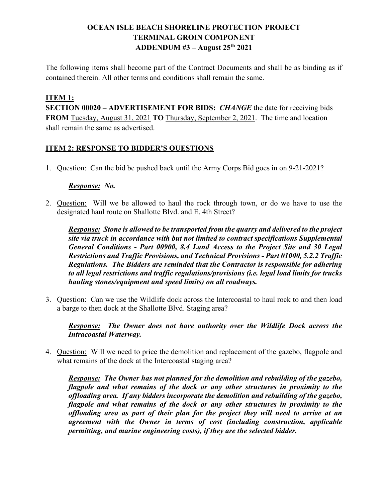## **OCEAN ISLE BEACH SHORELINE PROTECTION PROJECT TERMINAL GROIN COMPONENT ADDENDUM #3 – August 25th 2021**

The following items shall become part of the Contract Documents and shall be as binding as if contained therein. All other terms and conditions shall remain the same.

## **ITEM 1:**

**SECTION 00020 – ADVERTISEMENT FOR BIDS:** *CHANGE* the date for receiving bids **FROM** Tuesday, August 31, 2021 **TO** Thursday, September 2, 2021. The time and location shall remain the same as advertised.

## **ITEM 2: RESPONSE TO BIDDER'S QUESTIONS**

1. Question: Can the bid be pushed back until the Army Corps Bid goes in on 9-21-2021?

## *Response: No.*

2. Question: Will we be allowed to haul the rock through town, or do we have to use the designated haul route on Shallotte Blvd. and E. 4th Street?

*Response: Stone is allowed to be transported from the quarry and delivered to the project site via truck in accordance with but not limited to contract specifications Supplemental General Conditions - Part 00900, 8.4 Land Access to the Project Site and 30 Legal Restrictions and Traffic Provisions, and Technical Provisions - Part 01000, 5.2.2 Traffic Regulations. The Bidders are reminded that the Contractor is responsible for adhering to all legal restrictions and traffic regulations/provisions (i.e. legal load limits for trucks hauling stones/equipment and speed limits) on all roadways.*

3. Question: Can we use the Wildlife dock across the Intercoastal to haul rock to and then load a barge to then dock at the Shallotte Blvd. Staging area?

*Response: The Owner does not have authority over the Wildlife Dock across the Intracoastal Waterway.*

4. Question: Will we need to price the demolition and replacement of the gazebo, flagpole and what remains of the dock at the Intercoastal staging area?

*Response: The Owner has not planned for the demolition and rebuilding of the gazebo, flagpole and what remains of the dock or any other structures in proximity to the offloading area. If any bidders incorporate the demolition and rebuilding of the gazebo, flagpole and what remains of the dock or any other structures in proximity to the offloading area as part of their plan for the project they will need to arrive at an agreement with the Owner in terms of cost (including construction, applicable permitting, and marine engineering costs), if they are the selected bidder.*